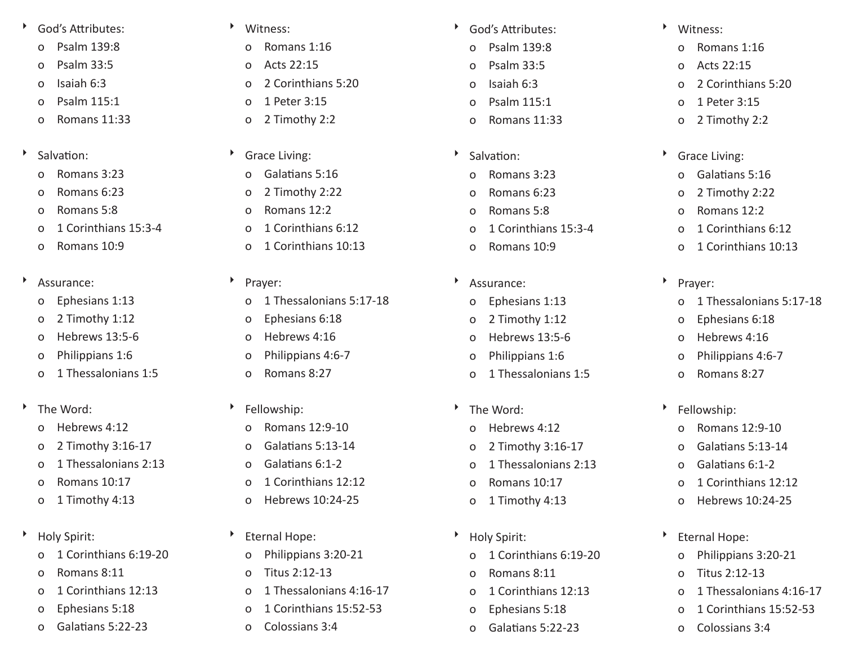- <sup>1</sup> God's Attributes:
	- o Psalm 139:8
	- o Psalm 33:5
	- o Isaiah 6:3
	- o Psalm 115:1
	- o Romans 11:33
- $\triangleright$  Salvation:
	- o Romans 3:23
	- o Romans 6:23
	- o Romans 5:8
	- o 1 Corinthians 15:3-4
	- o Romans 10:9
- Assurance:
	- o Ephesians 1:13
	- o 2 Timothy 1:12
	- o Hebrews 13:5-6
	- o Philippians 1:6
	- o 1 Thessalonians 1:5
- $\blacktriangleright$  The Word:
	- o Hebrews 4:12
	- o 2 Timothy 3:16-17
	- o 1 Thessalonians 2:13
	- o Romans 10:17
	- o 1 Timothy 4:13
- **B** Holy Spirit:
	- o 1 Corinthians 6:19-20
	- o Romans 8:11
	- o 1 Corinthians 12:13
	- o Ephesians 5:18
	- o Galatians 5:22-23
- Witness:
- o Romans 1:16
- o Acts 22:15
	- o 2 Corinthians 5:20
	- o 1 Peter 3:15
	- o 2 Timothy 2:2
- $\triangleright$  Grace Living:
- o Galatians 5:16
- o 2 Timothy 2:22
- o Romans 12:2
- o 1 Corinthians 6:12
- o 1 Corinthians 10:13
- ▶ Prayer:
	- o 1 Thessalonians 5:17-18
	- o Ephesians 6:18
	- o Hebrews 4:16
	- o Philippians 4:6-7
- o Romans 8:27
- **Fellowship:** 
	- o Romans 12:9-10
	- o Galatians 5:13-14
	- o Galatians 6:1-2
	- o 1 Corinthians 12:12
	- o Hebrews 10:24-25
- Eternal Hope:
	- o Philippians 3:20-21
	- o Titus 2:12-13
	- o 1 Thessalonians 4:16-17
	- o 1 Corinthians 15:52-53
	- o Colossians 3:4
- <sup>1</sup> God's Attributes: o Psalm 139:8
	- o Psalm 33:5
	- o Isaiah 6:3
	- o Psalm 115:1
	- o Romans 11:33
- $\triangleright$  Salvation:
	- o Romans 3:23
	- o Romans 6:23
	- o Romans 5:8
	- o 1 Corinthians 15:3-4
	- o Romans 10:9

## $\overrightarrow{ }$  Assurance:

- o Ephesians 1:13
- o 2 Timothy 1:12
- o Hebrews 13:5-6
- o Philippians 1:6
- o 1 Thessalonians 1:5
- $\uparrow$  The Word:
	- o Hebrews 4:12
	- o 2 Timothy 3:16-17
	- o 1 Thessalonians 2:13
	- o Romans 10:17
	- o 1 Timothy 4:13
- **B** Holy Spirit:
	- o 1 Corinthians 6:19-20
	- o Romans 8:11
	- o 1 Corinthians 12:13
	- o Ephesians 5:18
	- o Galatians 5:22-23
- 8 Witness:
	- o Romans 1:16
	- o Acts 22:15
	- o 2 Corinthians 5:20
	- o 1 Peter 3:15
	- o 2 Timothy 2:2
- $\overline{\phantom{a}}$  Grace Living:

▶ Prayer:

 $\blacktriangleright$  Fellowship:

- o Galatians 5:16
- o 2 Timothy 2:22
- o Romans 12:2
- o 1 Corinthians 6:12

o Ephesians 6:18 o Hebrews 4:16 o Philippians 4:6-7 o Romans 8:27

o Romans 12:9-10 o Galatians 5:13-14 o Galatians 6:1-2

o 1 Corinthians 12:12 o Hebrews 10:24-25

o Philippians 3:20-21

o 1 Thessalonians 4:16-17 o 1 Corinthians 15:52-53

Eternal Hope:

o Titus 2:12-13

o Colossians 3:4

o 1 Corinthians 10:13

o 1 Thessalonians 5:17-18